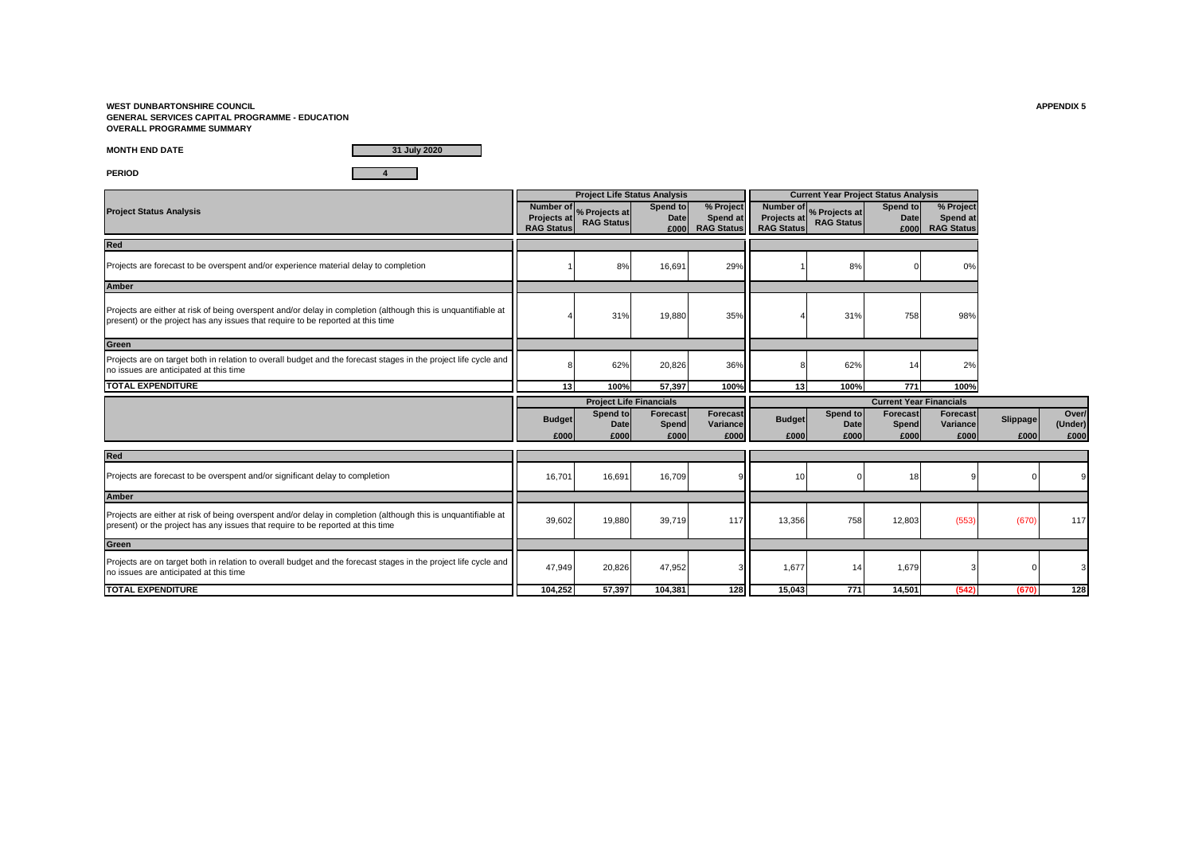**WEST DUNBARTONSHIRE COUNCIL APPENDIX 5 GENERAL SERVICES CAPITAL PROGRAMME - EDUCATION OVERALL PROGRAMME SUMMARY**

**MONTH END DATE**

**31 July 2020**

**PERIOD 4**

|                                                                                                                                                                                                  |                       | <b>Project Life Status Analysis</b>          |                                         |                                          |                                  | <b>Current Year Project Status Analysis</b>  |                           |                                            |                  |                          |
|--------------------------------------------------------------------------------------------------------------------------------------------------------------------------------------------------|-----------------------|----------------------------------------------|-----------------------------------------|------------------------------------------|----------------------------------|----------------------------------------------|---------------------------|--------------------------------------------|------------------|--------------------------|
| <b>Project Status Analysis</b>                                                                                                                                                                   | <b>RAG Status</b>     | Number of % Projects at<br><b>RAG Status</b> | Spend to<br><b>Date</b>                 | % Project<br>Spend at<br>£000 RAG Status | Projects at<br><b>RAG Status</b> | Number of % Projects at<br><b>RAG Status</b> | Spend to<br>Date<br>£000  | % Project<br>Spend at<br><b>RAG Status</b> |                  |                          |
| Red                                                                                                                                                                                              |                       |                                              |                                         |                                          |                                  |                                              |                           |                                            |                  |                          |
| Projects are forecast to be overspent and/or experience material delay to completion                                                                                                             |                       | 8%                                           | 16,691                                  | 29%                                      |                                  | 8%                                           |                           | 0%                                         |                  |                          |
| <b>Amber</b>                                                                                                                                                                                     |                       |                                              |                                         |                                          |                                  |                                              |                           |                                            |                  |                          |
| Projects are either at risk of being overspent and/or delay in completion (although this is unquantifiable at<br>present) or the project has any issues that require to be reported at this time |                       | 31%                                          | 19,880                                  | 35%                                      |                                  | 31%                                          | 758                       | 98%                                        |                  |                          |
| Green                                                                                                                                                                                            |                       |                                              |                                         |                                          |                                  |                                              |                           |                                            |                  |                          |
| Projects are on target both in relation to overall budget and the forecast stages in the project life cycle and<br>no issues are anticipated at this time                                        |                       | 62%                                          | 20,826                                  | 36%                                      |                                  | 62%                                          | 14                        | 2%                                         |                  |                          |
| <b>TOTAL EXPENDITURE</b>                                                                                                                                                                         | 13                    | 100%                                         | 57.397                                  | 100%                                     | 13                               | 100%                                         | 771                       | 100%                                       |                  |                          |
|                                                                                                                                                                                                  |                       |                                              |                                         |                                          | <b>Current Year Financials</b>   |                                              |                           |                                            |                  |                          |
|                                                                                                                                                                                                  |                       |                                              | <b>Project Life Financials</b>          |                                          |                                  |                                              |                           |                                            |                  |                          |
|                                                                                                                                                                                                  | <b>Budget</b><br>£000 | Spend to<br>Date<br>£000                     | <b>Forecast</b><br><b>Spend</b><br>£000 | Forecast<br>Variance<br>£000             | <b>Budget</b><br>£000            | Spend to<br>Date<br>£000                     | Forecast<br>Spend<br>£000 | <b>Forecast</b><br>Variance<br>£000        | Slippage<br>£000 | Over/<br>(Under)<br>£000 |
| Red                                                                                                                                                                                              |                       |                                              |                                         |                                          |                                  |                                              |                           |                                            |                  |                          |
| Projects are forecast to be overspent and/or significant delay to completion                                                                                                                     | 16,701                | 16,691                                       | 16,709                                  |                                          | 10                               |                                              | 18                        |                                            |                  |                          |
| <b>Amber</b>                                                                                                                                                                                     |                       |                                              |                                         |                                          |                                  |                                              |                           |                                            |                  |                          |
| Projects are either at risk of being overspent and/or delay in completion (although this is unquantifiable at<br>present) or the project has any issues that require to be reported at this time | 39,602                | 19,880                                       | 39,719                                  | 117                                      | 13,356                           | 758                                          | 12,803                    | (553)                                      | (670)            | 117                      |
| Green                                                                                                                                                                                            |                       |                                              |                                         |                                          |                                  |                                              |                           |                                            |                  |                          |
| Projects are on target both in relation to overall budget and the forecast stages in the project life cycle and<br>no issues are anticipated at this time                                        | 47,949                | 20,826                                       | 47,952                                  |                                          | 1,677                            | 14                                           | 1,679                     |                                            |                  |                          |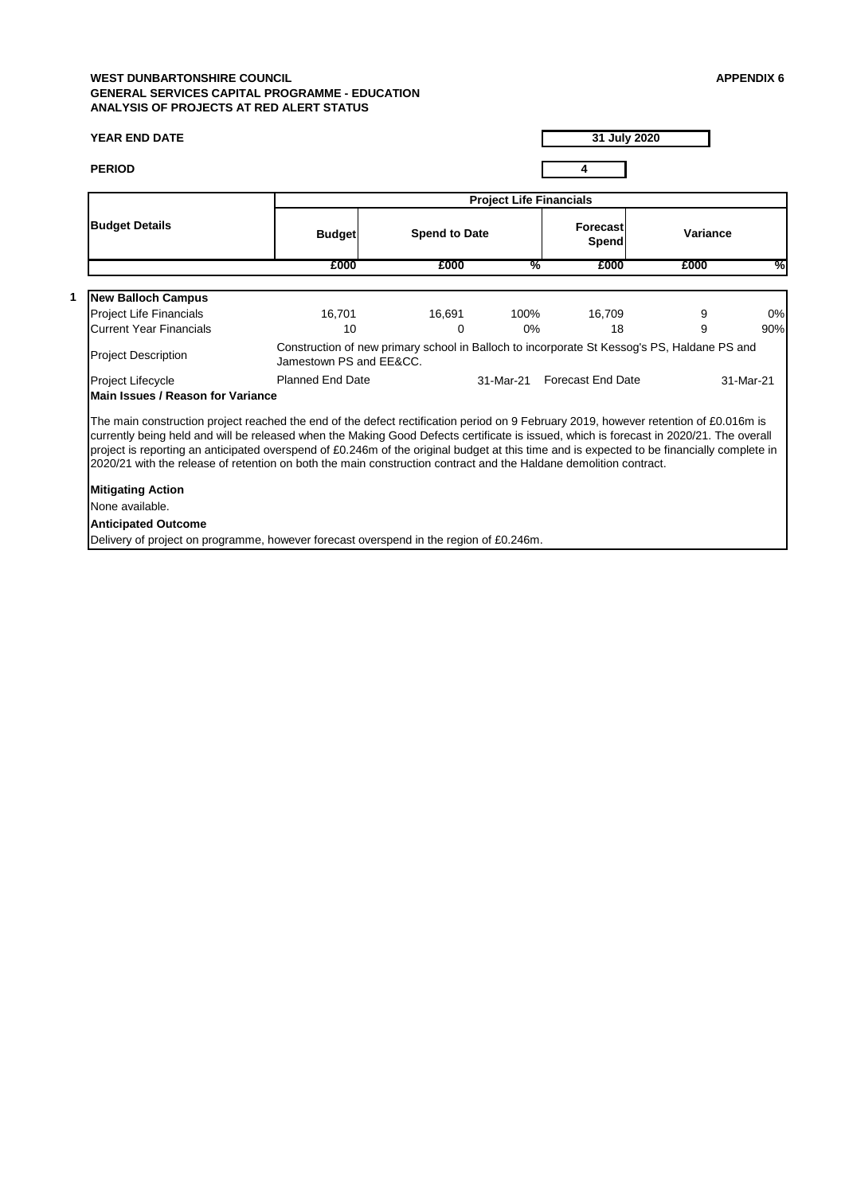# **WEST DUNBARTONSHIRE COUNCIL APPENDIX 6 GENERAL SERVICES CAPITAL PROGRAMME - EDUCATION ANALYSIS OF PROJECTS AT RED ALERT STATUS**

### **YEAR END DATE**

**31 July 2020**

|                                                                                                                                                                                                                                                                                                                                                                                                                                                                                                                                                    |                         |                      | <b>Project Life Financials</b> |                                                                                             |                 |               |
|----------------------------------------------------------------------------------------------------------------------------------------------------------------------------------------------------------------------------------------------------------------------------------------------------------------------------------------------------------------------------------------------------------------------------------------------------------------------------------------------------------------------------------------------------|-------------------------|----------------------|--------------------------------|---------------------------------------------------------------------------------------------|-----------------|---------------|
| <b>Budget Details</b>                                                                                                                                                                                                                                                                                                                                                                                                                                                                                                                              | <b>Budget</b>           | <b>Spend to Date</b> |                                | <b>Forecast</b><br><b>Spend</b>                                                             | <b>Variance</b> |               |
|                                                                                                                                                                                                                                                                                                                                                                                                                                                                                                                                                    | £000                    | £000                 | $\frac{0}{6}$                  | £000                                                                                        | £000            | $\frac{9}{6}$ |
| <b>New Balloch Campus</b>                                                                                                                                                                                                                                                                                                                                                                                                                                                                                                                          |                         |                      |                                |                                                                                             |                 |               |
| <b>Project Life Financials</b>                                                                                                                                                                                                                                                                                                                                                                                                                                                                                                                     | 16,701                  | 16,691               | 100%                           | 16,709                                                                                      | 9               | 0%            |
| <b>Current Year Financials</b>                                                                                                                                                                                                                                                                                                                                                                                                                                                                                                                     | 10                      | $\mathbf 0$          | $0\%$                          | 18                                                                                          | 9               | 90%           |
| <b>Project Description</b>                                                                                                                                                                                                                                                                                                                                                                                                                                                                                                                         | Jamestown PS and EE&CC. |                      |                                | Construction of new primary school in Balloch to incorporate St Kessog's PS, Haldane PS and |                 |               |
| Project Lifecycle                                                                                                                                                                                                                                                                                                                                                                                                                                                                                                                                  | <b>Planned End Date</b> |                      | 31-Mar-21                      | <b>Forecast End Date</b>                                                                    |                 | 31-Mar-21     |
| <b>Main Issues / Reason for Variance</b>                                                                                                                                                                                                                                                                                                                                                                                                                                                                                                           |                         |                      |                                |                                                                                             |                 |               |
| The main construction project reached the end of the defect rectification period on 9 February 2019, however retention of £0.016m is<br>currently being held and will be released when the Making Good Defects certificate is issued, which is forecast in 2020/21. The overall<br>project is reporting an anticipated overspend of £0.246m of the original budget at this time and is expected to be financially complete in<br>2020/21 with the release of retention on both the main construction contract and the Haldane demolition contract. |                         |                      |                                |                                                                                             |                 |               |
| <b>Mitigating Action</b>                                                                                                                                                                                                                                                                                                                                                                                                                                                                                                                           |                         |                      |                                |                                                                                             |                 |               |
| None available.                                                                                                                                                                                                                                                                                                                                                                                                                                                                                                                                    |                         |                      |                                |                                                                                             |                 |               |
| <b>Anticipated Outcome</b>                                                                                                                                                                                                                                                                                                                                                                                                                                                                                                                         |                         |                      |                                |                                                                                             |                 |               |
|                                                                                                                                                                                                                                                                                                                                                                                                                                                                                                                                                    |                         |                      |                                |                                                                                             |                 |               |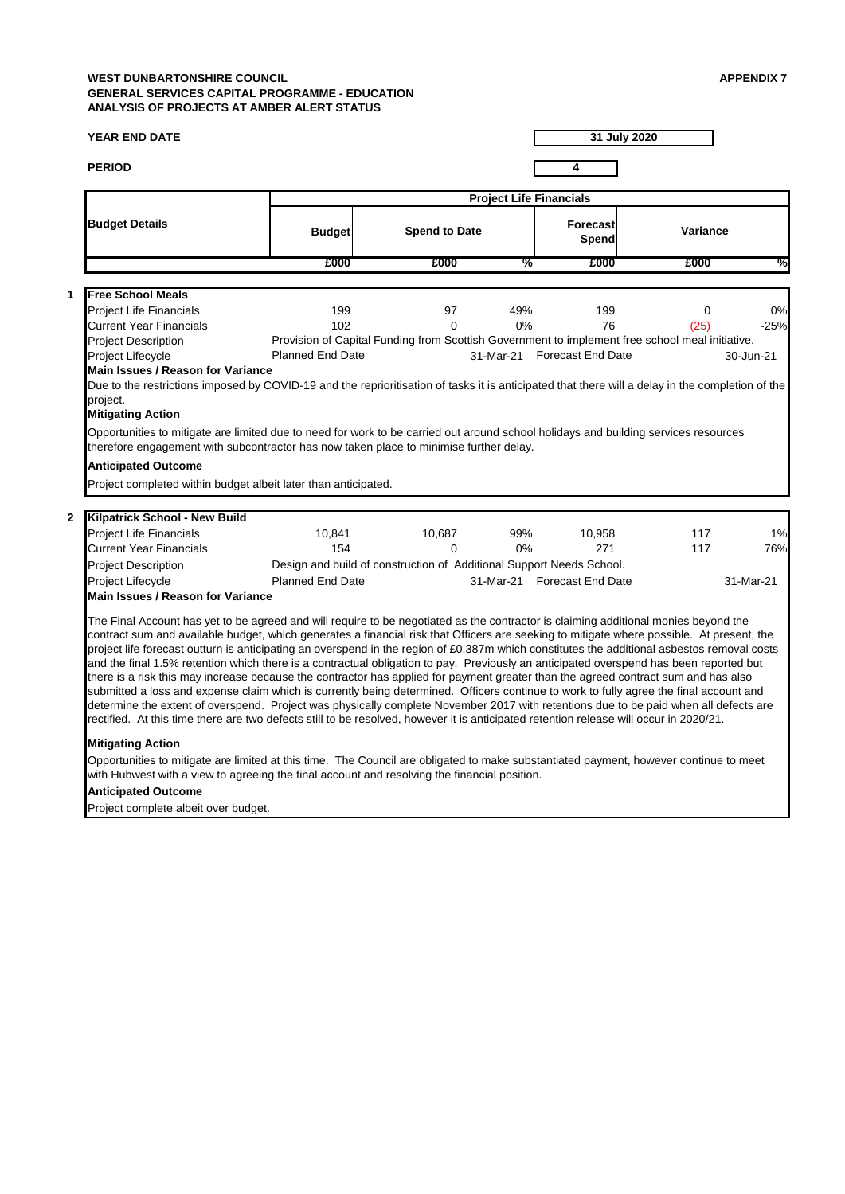# **WEST DUNBARTONSHIRE COUNCIL APPENDIX 7 GENERAL SERVICES CAPITAL PROGRAMME - EDUCATION ANALYSIS OF PROJECTS AT AMBER ALERT STATUS**

#### **YEAR END DATE**

**PERIOD 4**

**1**

**2**

**31 July 2020**



# Project Lifecycle **Example 21 Studies 21 Studies 21** 31-Mar-21 31-Mar-21 Forecast End Date 31-Mar-21 **Main Issues / Reason for Variance**

|                                                                                                                                                                                                                                                                                                                                 |                         |                                                                                                 | <b>Project Life Financials</b> |                                 |                 |               |
|---------------------------------------------------------------------------------------------------------------------------------------------------------------------------------------------------------------------------------------------------------------------------------------------------------------------------------|-------------------------|-------------------------------------------------------------------------------------------------|--------------------------------|---------------------------------|-----------------|---------------|
| <b>Budget Details</b>                                                                                                                                                                                                                                                                                                           | <b>Budget</b>           | <b>Spend to Date</b>                                                                            |                                | <b>Forecast</b><br><b>Spend</b> | <b>Variance</b> |               |
|                                                                                                                                                                                                                                                                                                                                 | £000                    | £000                                                                                            | $\frac{9}{6}$                  | £000                            | £000            | $\frac{0}{2}$ |
| <b>Free School Meals</b>                                                                                                                                                                                                                                                                                                        |                         |                                                                                                 |                                |                                 |                 |               |
| <b>Project Life Financials</b>                                                                                                                                                                                                                                                                                                  | 199                     | 97                                                                                              | 49%                            | 199                             | 0               | 0%            |
| <b>Current Year Financials</b>                                                                                                                                                                                                                                                                                                  | 102                     | 0                                                                                               | $0\%$                          | 76                              | (25)            | $-25%$        |
| <b>Project Description</b>                                                                                                                                                                                                                                                                                                      |                         | Provision of Capital Funding from Scottish Government to implement free school meal initiative. |                                |                                 |                 |               |
| Project Lifecycle                                                                                                                                                                                                                                                                                                               | <b>Planned End Date</b> |                                                                                                 | 31-Mar-21                      | <b>Forecast End Date</b>        |                 | 30-Jun-21     |
| Due to the restrictions imposed by COVID-19 and the reprioritisation of tasks it is anticipated that there will a delay in the completion of the<br>project.<br><b>Mitigating Action</b><br>Opportunities to mitigate are limited due to need for work to be carried out around school holidays and building services resources |                         |                                                                                                 |                                |                                 |                 |               |
| therefore engagement with subcontractor has now taken place to minimise further delay.                                                                                                                                                                                                                                          |                         |                                                                                                 |                                |                                 |                 |               |
| <b>Anticipated Outcome</b>                                                                                                                                                                                                                                                                                                      |                         |                                                                                                 |                                |                                 |                 |               |
| Project completed within budget albeit later than anticipated.                                                                                                                                                                                                                                                                  |                         |                                                                                                 |                                |                                 |                 |               |
| <b>Kilpatrick School - New Build</b>                                                                                                                                                                                                                                                                                            |                         |                                                                                                 |                                |                                 |                 |               |
| <b>Project Life Financials</b>                                                                                                                                                                                                                                                                                                  | 10,841                  | 10,687                                                                                          | 99%                            | 10,958                          | 117             | 1%            |
| <b>Current Year Financials</b>                                                                                                                                                                                                                                                                                                  | 154                     | $\overline{0}$                                                                                  | 0%                             | 271                             | 117             | 76%           |
| <b>Project Description</b>                                                                                                                                                                                                                                                                                                      |                         | Design and build of construction of Additional Support Needs School.                            |                                |                                 |                 |               |
|                                                                                                                                                                                                                                                                                                                                 |                         |                                                                                                 |                                |                                 |                 |               |

Opportunities to mitigate are limited at this time. The Council are obligated to make substantiated payment, however continue to meet with Hubwest with a view to agreeing the final account and resolving the financial position.

### **Anticipated Outcome**

Project complete albeit over budget.

The Final Account has yet to be agreed and will require to be negotiated as the contractor is claiming additional monies beyond the contract sum and available budget, which generates a financial risk that Officers are seeking to mitigate where possible. At present, the project life forecast outturn is anticipating an overspend in the region of £0.387m which constitutes the additional asbestos removal costs and the final 1.5% retention which there is a contractual obligation to pay. Previously an anticipated overspend has been reported but there is a risk this may increase because the contractor has applied for payment greater than the agreed contract sum and has also submitted a loss and expense claim which is currently being determined. Officers continue to work to fully agree the final account and determine the extent of overspend. Project was physically complete November 2017 with retentions due to be paid when all defects are rectified. At this time there are two defects still to be resolved, however it is anticipated retention release will occur in 2020/21.

# **Mitigating Action**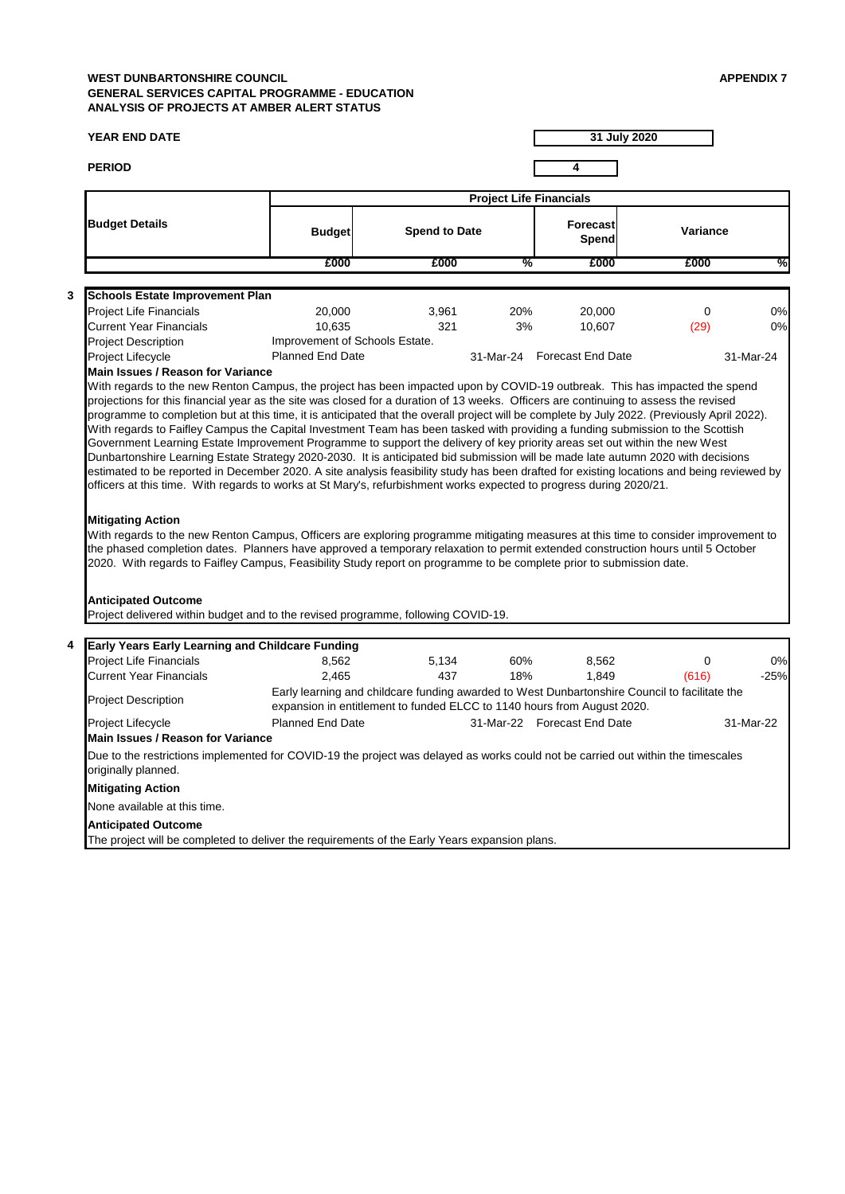# **WEST DUNBARTONSHIRE COUNCIL APPENDIX 7 GENERAL SERVICES CAPITAL PROGRAMME - EDUCATION ANALYSIS OF PROJECTS AT AMBER ALERT STATUS**

### **YEAR END DATE**

**PERIOD 4**

**31 July 2020**

**Project Life Financials**

| <b>Budget Details</b>                                                                                                                                                                                                                                                                                                                                                                                                                                                                                                                                                                                                                                                                                                                                                                                                                                                                                                                                                                                                                                                                                | <b>Budget</b>                                                                                                                                                            | <b>Spend to Date</b> |               | Forecast<br>Spend           | <b>Variance</b> |               |
|------------------------------------------------------------------------------------------------------------------------------------------------------------------------------------------------------------------------------------------------------------------------------------------------------------------------------------------------------------------------------------------------------------------------------------------------------------------------------------------------------------------------------------------------------------------------------------------------------------------------------------------------------------------------------------------------------------------------------------------------------------------------------------------------------------------------------------------------------------------------------------------------------------------------------------------------------------------------------------------------------------------------------------------------------------------------------------------------------|--------------------------------------------------------------------------------------------------------------------------------------------------------------------------|----------------------|---------------|-----------------------------|-----------------|---------------|
|                                                                                                                                                                                                                                                                                                                                                                                                                                                                                                                                                                                                                                                                                                                                                                                                                                                                                                                                                                                                                                                                                                      | £000                                                                                                                                                                     | £000                 | $\frac{0}{2}$ | £000                        | £000            | $\frac{0}{6}$ |
| 3<br><b>Schools Estate Improvement Plan</b>                                                                                                                                                                                                                                                                                                                                                                                                                                                                                                                                                                                                                                                                                                                                                                                                                                                                                                                                                                                                                                                          |                                                                                                                                                                          |                      |               |                             |                 |               |
| <b>Project Life Financials</b>                                                                                                                                                                                                                                                                                                                                                                                                                                                                                                                                                                                                                                                                                                                                                                                                                                                                                                                                                                                                                                                                       | 20,000                                                                                                                                                                   | 3,961                | 20%           | 20,000                      | $\mathbf 0$     | 0%            |
| <b>Current Year Financials</b>                                                                                                                                                                                                                                                                                                                                                                                                                                                                                                                                                                                                                                                                                                                                                                                                                                                                                                                                                                                                                                                                       | 10,635                                                                                                                                                                   | 321                  | 3%            | 10,607                      | (29)            | 0%            |
| <b>Project Description</b>                                                                                                                                                                                                                                                                                                                                                                                                                                                                                                                                                                                                                                                                                                                                                                                                                                                                                                                                                                                                                                                                           | Improvement of Schools Estate.                                                                                                                                           |                      |               |                             |                 |               |
| Project Lifecycle<br><b>Main Issues / Reason for Variance</b>                                                                                                                                                                                                                                                                                                                                                                                                                                                                                                                                                                                                                                                                                                                                                                                                                                                                                                                                                                                                                                        | <b>Planned End Date</b>                                                                                                                                                  |                      |               | 31-Mar-24 Forecast End Date |                 | 31-Mar-24     |
| With regards to Faifley Campus the Capital Investment Team has been tasked with providing a funding submission to the Scottish<br>Government Learning Estate Improvement Programme to support the delivery of key priority areas set out within the new West<br>Dunbartonshire Learning Estate Strategy 2020-2030. It is anticipated bid submission will be made late autumn 2020 with decisions<br>estimated to be reported in December 2020. A site analysis feasibility study has been drafted for existing locations and being reviewed by<br>officers at this time. With regards to works at St Mary's, refurbishment works expected to progress during 2020/21.<br><b>Mitigating Action</b><br>With regards to the new Renton Campus, Officers are exploring programme mitigating measures at this time to consider improvement to<br>the phased completion dates. Planners have approved a temporary relaxation to permit extended construction hours until 5 October<br>2020. With regards to Faifley Campus, Feasibility Study report on programme to be complete prior to submission date. |                                                                                                                                                                          |                      |               |                             |                 |               |
| <b>Anticipated Outcome</b><br>Project delivered within budget and to the revised programme, following COVID-19.<br><b>Early Years Early Learning and Childcare Funding</b><br>4                                                                                                                                                                                                                                                                                                                                                                                                                                                                                                                                                                                                                                                                                                                                                                                                                                                                                                                      |                                                                                                                                                                          |                      |               |                             |                 |               |
| <b>Project Life Financials</b>                                                                                                                                                                                                                                                                                                                                                                                                                                                                                                                                                                                                                                                                                                                                                                                                                                                                                                                                                                                                                                                                       | 8,562                                                                                                                                                                    | 5,134                | 60%           | 8,562                       | 0               | 0%            |
| <b>Current Year Financials</b>                                                                                                                                                                                                                                                                                                                                                                                                                                                                                                                                                                                                                                                                                                                                                                                                                                                                                                                                                                                                                                                                       | 2,465                                                                                                                                                                    | 437                  | 18%           | 1,849                       | (616)           | $-25%$        |
| <b>Project Description</b>                                                                                                                                                                                                                                                                                                                                                                                                                                                                                                                                                                                                                                                                                                                                                                                                                                                                                                                                                                                                                                                                           | Early learning and childcare funding awarded to West Dunbartonshire Council to facilitate the<br>expansion in entitlement to funded ELCC to 1140 hours from August 2020. |                      |               |                             |                 |               |
| Project Lifecycle<br>Main Issues / Reason for Variance                                                                                                                                                                                                                                                                                                                                                                                                                                                                                                                                                                                                                                                                                                                                                                                                                                                                                                                                                                                                                                               | <b>Planned End Date</b>                                                                                                                                                  |                      |               | 31-Mar-22 Forecast End Date |                 | 31-Mar-22     |
| Due to the restrictions implemented for COVID-19 the project was delayed as works could not be carried out within the timescales<br>originally planned.<br><b>Mitigating Action</b>                                                                                                                                                                                                                                                                                                                                                                                                                                                                                                                                                                                                                                                                                                                                                                                                                                                                                                                  |                                                                                                                                                                          |                      |               |                             |                 |               |
| None available at this time.                                                                                                                                                                                                                                                                                                                                                                                                                                                                                                                                                                                                                                                                                                                                                                                                                                                                                                                                                                                                                                                                         |                                                                                                                                                                          |                      |               |                             |                 |               |
| <b>Anticipated Outcome</b><br>The project will be completed to deliver the requirements of the Early Years expansion plans.                                                                                                                                                                                                                                                                                                                                                                                                                                                                                                                                                                                                                                                                                                                                                                                                                                                                                                                                                                          |                                                                                                                                                                          |                      |               |                             |                 |               |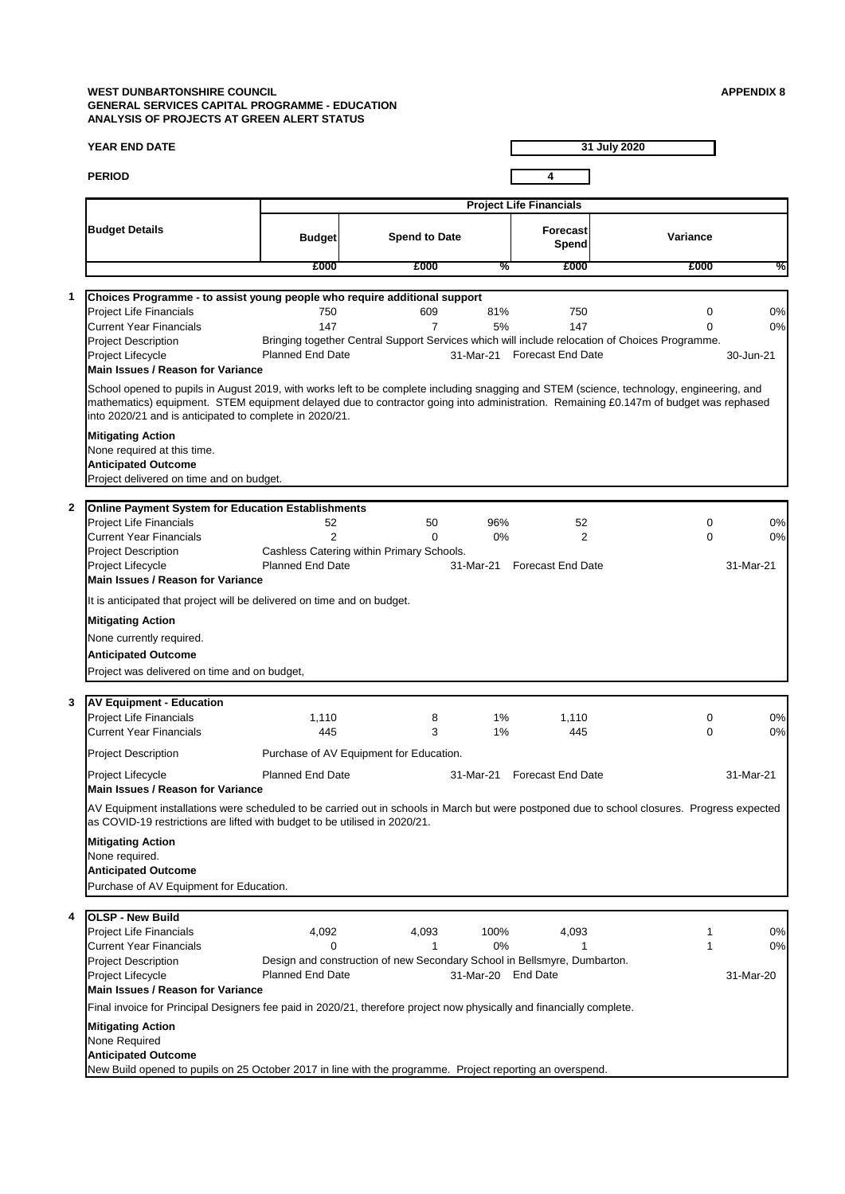# **WEST DUNBARTONSHIRE COUNCIL APPENDIX 8 GENERAL SERVICES CAPITAL PROGRAMME - EDUCATION ANALYSIS OF PROJECTS AT GREEN ALERT STATUS**

|              | <b>YEAR END DATE</b>                                                                                                                                                                                                                                                                                                                         |                                       |                                                                |                        |                                        | 31 July 2020                                                                                             |                       |
|--------------|----------------------------------------------------------------------------------------------------------------------------------------------------------------------------------------------------------------------------------------------------------------------------------------------------------------------------------------------|---------------------------------------|----------------------------------------------------------------|------------------------|----------------------------------------|----------------------------------------------------------------------------------------------------------|-----------------------|
|              | <b>PERIOD</b>                                                                                                                                                                                                                                                                                                                                |                                       |                                                                |                        | 4                                      |                                                                                                          |                       |
|              |                                                                                                                                                                                                                                                                                                                                              |                                       |                                                                |                        | <b>Project Life Financials</b>         |                                                                                                          |                       |
|              | <b>Budget Details</b>                                                                                                                                                                                                                                                                                                                        | <b>Budget</b>                         | <b>Spend to Date</b>                                           |                        | <b>Forecast</b><br><b>Spend</b>        | Variance                                                                                                 |                       |
|              |                                                                                                                                                                                                                                                                                                                                              | £000                                  | £000                                                           | %                      | £000                                   | £000                                                                                                     | %                     |
|              | Choices Programme - to assist young people who require additional support                                                                                                                                                                                                                                                                    |                                       |                                                                |                        |                                        |                                                                                                          |                       |
|              | <b>Project Life Financials</b><br><b>Current Year Financials</b><br><b>Project Description</b><br><b>Project Lifecycle</b><br><b>Main Issues / Reason for Variance</b>                                                                                                                                                                       | 750<br>147<br><b>Planned End Date</b> | 609                                                            | 81%<br>5%<br>31-Mar-21 | 750<br>147<br><b>Forecast End Date</b> | 0<br>0<br>Bringing together Central Support Services which will include relocation of Choices Programme. | 0%<br>0%<br>30-Jun-21 |
|              | School opened to pupils in August 2019, with works left to be complete including snagging and STEM (science, technology, engineering, and<br>mathematics) equipment. STEM equipment delayed due to contractor going into administration. Remaining £0.147m of budget was rephased<br>into 2020/21 and is anticipated to complete in 2020/21. |                                       |                                                                |                        |                                        |                                                                                                          |                       |
|              | <b>Mitigating Action</b><br>None required at this time.<br><b>Anticipated Outcome</b><br>Project delivered on time and on budget.                                                                                                                                                                                                            |                                       |                                                                |                        |                                        |                                                                                                          |                       |
| $\mathbf{2}$ | <b>Online Payment System for Education Establishments</b>                                                                                                                                                                                                                                                                                    |                                       |                                                                |                        |                                        |                                                                                                          |                       |
|              | <b>Project Life Financials</b><br><b>Current Year Financials</b><br><b>Project Description</b>                                                                                                                                                                                                                                               | 52<br>$\overline{2}$                  | 50<br>$\mathbf 0$<br>Cashless Catering within Primary Schools. | 96%<br>$0\%$           | 52<br>2                                | 0<br>0                                                                                                   | 0%<br>0%              |
|              | Project Lifecycle<br><b>Main Issues / Reason for Variance</b>                                                                                                                                                                                                                                                                                | <b>Planned End Date</b>               |                                                                | 31-Mar-21              | <b>Forecast End Date</b>               |                                                                                                          | 31-Mar-21             |
|              | It is anticipated that project will be delivered on time and on budget.                                                                                                                                                                                                                                                                      |                                       |                                                                |                        |                                        |                                                                                                          |                       |
|              | <b>Mitigating Action</b>                                                                                                                                                                                                                                                                                                                     |                                       |                                                                |                        |                                        |                                                                                                          |                       |
|              | None currently required.                                                                                                                                                                                                                                                                                                                     |                                       |                                                                |                        |                                        |                                                                                                          |                       |
|              | <b>Anticipated Outcome</b><br>Project was delivered on time and on budget,                                                                                                                                                                                                                                                                   |                                       |                                                                |                        |                                        |                                                                                                          |                       |
| 3            | <b>AV Equipment - Education</b>                                                                                                                                                                                                                                                                                                              |                                       |                                                                |                        |                                        |                                                                                                          |                       |
|              | <b>Project Life Financials</b><br><b>Current Year Financials</b>                                                                                                                                                                                                                                                                             | 1,110<br>445                          | 8<br>3                                                         | $1\%$<br>$1\%$         | 1,110<br>445                           | 0<br>0                                                                                                   | 0%<br>0%              |
|              | <b>Project Description</b>                                                                                                                                                                                                                                                                                                                   |                                       | Purchase of AV Equipment for Education.                        |                        |                                        |                                                                                                          |                       |
|              | Project Lifecycle<br><b>Main Issues / Reason for Variance</b>                                                                                                                                                                                                                                                                                | <b>Planned End Date</b>               |                                                                | 31-Mar-21              | <b>Forecast End Date</b>               |                                                                                                          | 31-Mar-21             |
|              | AV Equipment installations were scheduled to be carried out in schools in March but were postponed due to school closures. Progress expected<br>as COVID-19 restrictions are lifted with budget to be utilised in 2020/21.                                                                                                                   |                                       |                                                                |                        |                                        |                                                                                                          |                       |
|              | <b>Mitigating Action</b><br>None required.<br><b>Anticipated Outcome</b><br>Purchase of AV Equipment for Education.                                                                                                                                                                                                                          |                                       |                                                                |                        |                                        |                                                                                                          |                       |

| 4 <b>OLSP</b> - New Build                                                                                             |                         |       |           |          |  |           |  |
|-----------------------------------------------------------------------------------------------------------------------|-------------------------|-------|-----------|----------|--|-----------|--|
| <b>Project Life Financials</b>                                                                                        | 4,092                   | 4,093 | 100%      | 4,093    |  | 0%        |  |
| <b>Current Year Financials</b>                                                                                        |                         |       | 0%        |          |  | 0%        |  |
| Design and construction of new Secondary School in Bellsmyre, Dumbarton.<br><b>Project Description</b>                |                         |       |           |          |  |           |  |
| Project Lifecycle                                                                                                     | <b>Planned End Date</b> |       | 31-Mar-20 | End Date |  | 31-Mar-20 |  |
| Main Issues / Reason for Variance                                                                                     |                         |       |           |          |  |           |  |
| Final invoice for Principal Designers fee paid in 2020/21, therefore project now physically and financially complete. |                         |       |           |          |  |           |  |
| <b>Mitigating Action</b>                                                                                              |                         |       |           |          |  |           |  |
| None Required                                                                                                         |                         |       |           |          |  |           |  |
| <b>Anticipated Outcome</b>                                                                                            |                         |       |           |          |  |           |  |
| New Build opened to pupils on 25 October 2017 in line with the programme. Project reporting an overspend.             |                         |       |           |          |  |           |  |